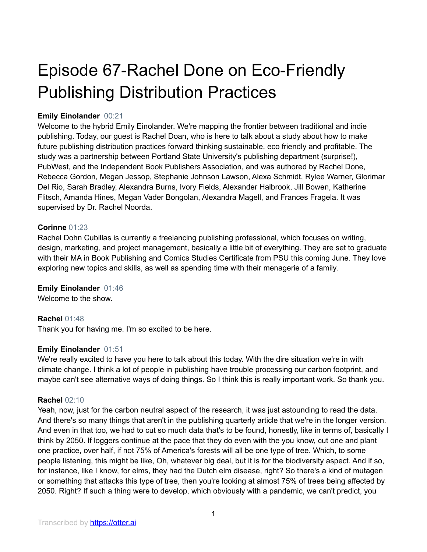# Episode 67-Rachel Done on Eco-Friendly Publishing Distribution Practices

# **Emily Einolander** 00:21

Welcome to the hybrid Emily Einolander. We're mapping the frontier between traditional and indie publishing. Today, our guest is Rachel Doan, who is here to talk about a study about how to make future publishing distribution practices forward thinking sustainable, eco friendly and profitable. The study was a partnership between Portland State University's publishing department (surprise!), PubWest, and the Independent Book Publishers Association, and was authored by Rachel Done, Rebecca Gordon, Megan Jessop, Stephanie Johnson Lawson, Alexa Schmidt, Rylee Warner, Glorimar Del Rio, Sarah Bradley, Alexandra Burns, Ivory Fields, Alexander Halbrook, Jill Bowen, Katherine Flitsch, Amanda Hines, Megan Vader Bongolan, Alexandra Magell, and Frances Fragela. It was supervised by Dr. Rachel Noorda.

# **Corinne** 01:23

Rachel Dohn Cubillas is currently a freelancing publishing professional, which focuses on writing, design, marketing, and project management, basically a little bit of everything. They are set to graduate with their MA in Book Publishing and Comics Studies Certificate from PSU this coming June. They love exploring new topics and skills, as well as spending time with their menagerie of a family.

# **Emily Einolander** 01:46

Welcome to the show.

# **Rachel** 01:48

Thank you for having me. I'm so excited to be here.

# **Emily Einolander** 01:51

We're really excited to have you here to talk about this today. With the dire situation we're in with climate change. I think a lot of people in publishing have trouble processing our carbon footprint, and maybe can't see alternative ways of doing things. So I think this is really important work. So thank you.

#### **Rachel** 02:10

Yeah, now, just for the carbon neutral aspect of the research, it was just astounding to read the data. And there's so many things that aren't in the publishing quarterly article that we're in the longer version. And even in that too, we had to cut so much data that's to be found, honestly, like in terms of, basically I think by 2050. If loggers continue at the pace that they do even with the you know, cut one and plant one practice, over half, if not 75% of America's forests will all be one type of tree. Which, to some people listening, this might be like, Oh, whatever big deal, but it is for the biodiversity aspect. And if so, for instance, like I know, for elms, they had the Dutch elm disease, right? So there's a kind of mutagen or something that attacks this type of tree, then you're looking at almost 75% of trees being affected by 2050. Right? If such a thing were to develop, which obviously with a pandemic, we can't predict, you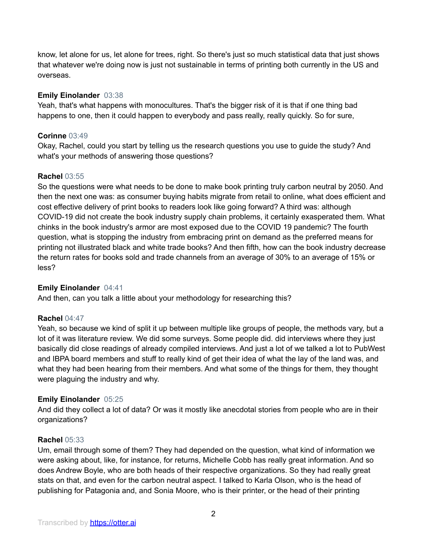know, let alone for us, let alone for trees, right. So there's just so much statistical data that just shows that whatever we're doing now is just not sustainable in terms of printing both currently in the US and overseas.

# **Emily Einolander** 03:38

Yeah, that's what happens with monocultures. That's the bigger risk of it is that if one thing bad happens to one, then it could happen to everybody and pass really, really quickly. So for sure,

# **Corinne** 03:49

Okay, Rachel, could you start by telling us the research questions you use to guide the study? And what's your methods of answering those questions?

# **Rachel** 03:55

So the questions were what needs to be done to make book printing truly carbon neutral by 2050. And then the next one was: as consumer buying habits migrate from retail to online, what does efficient and cost effective delivery of print books to readers look like going forward? A third was: although COVID-19 did not create the book industry supply chain problems, it certainly exasperated them. What chinks in the book industry's armor are most exposed due to the COVID 19 pandemic? The fourth question, what is stopping the industry from embracing print on demand as the preferred means for printing not illustrated black and white trade books? And then fifth, how can the book industry decrease the return rates for books sold and trade channels from an average of 30% to an average of 15% or less?

# **Emily Einolander** 04:41

And then, can you talk a little about your methodology for researching this?

# **Rachel** 04:47

Yeah, so because we kind of split it up between multiple like groups of people, the methods vary, but a lot of it was literature review. We did some surveys. Some people did. did interviews where they just basically did close readings of already compiled interviews. And just a lot of we talked a lot to PubWest and IBPA board members and stuff to really kind of get their idea of what the lay of the land was, and what they had been hearing from their members. And what some of the things for them, they thought were plaguing the industry and why.

# **Emily Einolander** 05:25

And did they collect a lot of data? Or was it mostly like anecdotal stories from people who are in their organizations?

# **Rachel** 05:33

Um, email through some of them? They had depended on the question, what kind of information we were asking about, like, for instance, for returns, Michelle Cobb has really great information. And so does Andrew Boyle, who are both heads of their respective organizations. So they had really great stats on that, and even for the carbon neutral aspect. I talked to Karla Olson, who is the head of publishing for Patagonia and, and Sonia Moore, who is their printer, or the head of their printing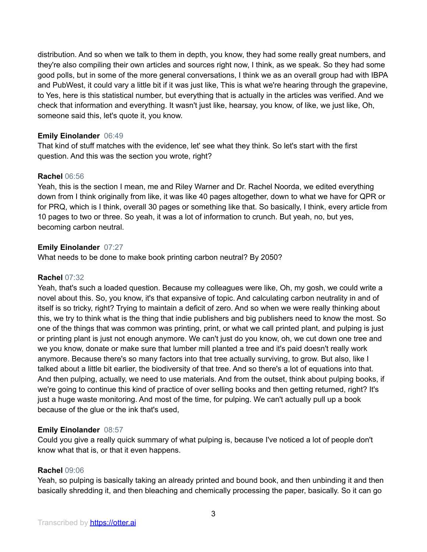distribution. And so when we talk to them in depth, you know, they had some really great numbers, and they're also compiling their own articles and sources right now, I think, as we speak. So they had some good polls, but in some of the more general conversations, I think we as an overall group had with IBPA and PubWest, it could vary a little bit if it was just like, This is what we're hearing through the grapevine, to Yes, here is this statistical number, but everything that is actually in the articles was verified. And we check that information and everything. It wasn't just like, hearsay, you know, of like, we just like, Oh, someone said this, let's quote it, you know.

# **Emily Einolander** 06:49

That kind of stuff matches with the evidence, let' see what they think. So let's start with the first question. And this was the section you wrote, right?

# **Rachel** 06:56

Yeah, this is the section I mean, me and Riley Warner and Dr. Rachel Noorda, we edited everything down from I think originally from like, it was like 40 pages altogether, down to what we have for QPR or for PRQ, which is I think, overall 30 pages or something like that. So basically, I think, every article from 10 pages to two or three. So yeah, it was a lot of information to crunch. But yeah, no, but yes, becoming carbon neutral.

# **Emily Einolander** 07:27

What needs to be done to make book printing carbon neutral? By 2050?

# **Rachel** 07:32

Yeah, that's such a loaded question. Because my colleagues were like, Oh, my gosh, we could write a novel about this. So, you know, it's that expansive of topic. And calculating carbon neutrality in and of itself is so tricky, right? Trying to maintain a deficit of zero. And so when we were really thinking about this, we try to think what is the thing that indie publishers and big publishers need to know the most. So one of the things that was common was printing, print, or what we call printed plant, and pulping is just or printing plant is just not enough anymore. We can't just do you know, oh, we cut down one tree and we you know, donate or make sure that lumber mill planted a tree and it's paid doesn't really work anymore. Because there's so many factors into that tree actually surviving, to grow. But also, like I talked about a little bit earlier, the biodiversity of that tree. And so there's a lot of equations into that. And then pulping, actually, we need to use materials. And from the outset, think about pulping books, if we're going to continue this kind of practice of over selling books and then getting returned, right? It's just a huge waste monitoring. And most of the time, for pulping. We can't actually pull up a book because of the glue or the ink that's used,

# **Emily Einolander** 08:57

Could you give a really quick summary of what pulping is, because I've noticed a lot of people don't know what that is, or that it even happens.

# **Rachel** 09:06

Yeah, so pulping is basically taking an already printed and bound book, and then unbinding it and then basically shredding it, and then bleaching and chemically processing the paper, basically. So it can go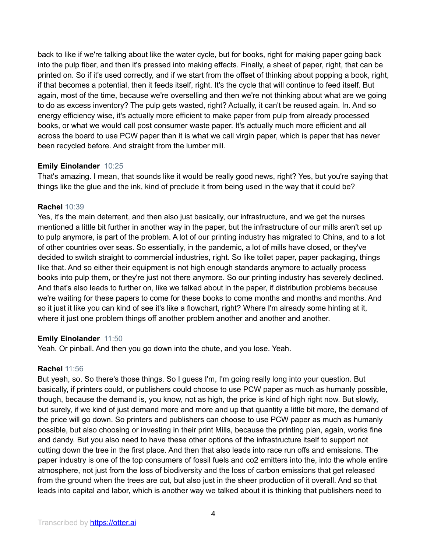back to like if we're talking about like the water cycle, but for books, right for making paper going back into the pulp fiber, and then it's pressed into making effects. Finally, a sheet of paper, right, that can be printed on. So if it's used correctly, and if we start from the offset of thinking about popping a book, right, if that becomes a potential, then it feeds itself, right. It's the cycle that will continue to feed itself. But again, most of the time, because we're overselling and then we're not thinking about what are we going to do as excess inventory? The pulp gets wasted, right? Actually, it can't be reused again. In. And so energy efficiency wise, it's actually more efficient to make paper from pulp from already processed books, or what we would call post consumer waste paper. It's actually much more efficient and all across the board to use PCW paper than it is what we call virgin paper, which is paper that has never been recycled before. And straight from the lumber mill.

# **Emily Einolander** 10:25

That's amazing. I mean, that sounds like it would be really good news, right? Yes, but you're saying that things like the glue and the ink, kind of preclude it from being used in the way that it could be?

# **Rachel** 10:39

Yes, it's the main deterrent, and then also just basically, our infrastructure, and we get the nurses mentioned a little bit further in another way in the paper, but the infrastructure of our mills aren't set up to pulp anymore, is part of the problem. A lot of our printing industry has migrated to China, and to a lot of other countries over seas. So essentially, in the pandemic, a lot of mills have closed, or they've decided to switch straight to commercial industries, right. So like toilet paper, paper packaging, things like that. And so either their equipment is not high enough standards anymore to actually process books into pulp them, or they're just not there anymore. So our printing industry has severely declined. And that's also leads to further on, like we talked about in the paper, if distribution problems because we're waiting for these papers to come for these books to come months and months and months. And so it just it like you can kind of see it's like a flowchart, right? Where I'm already some hinting at it, where it just one problem things off another problem another and another and another.

# **Emily Einolander** 11:50

Yeah. Or pinball. And then you go down into the chute, and you lose. Yeah.

# **Rachel** 11:56

But yeah, so. So there's those things. So I guess I'm, I'm going really long into your question. But basically, if printers could, or publishers could choose to use PCW paper as much as humanly possible, though, because the demand is, you know, not as high, the price is kind of high right now. But slowly, but surely, if we kind of just demand more and more and up that quantity a little bit more, the demand of the price will go down. So printers and publishers can choose to use PCW paper as much as humanly possible, but also choosing or investing in their print Mills, because the printing plan, again, works fine and dandy. But you also need to have these other options of the infrastructure itself to support not cutting down the tree in the first place. And then that also leads into race run offs and emissions. The paper industry is one of the top consumers of fossil fuels and co2 emitters into the, into the whole entire atmosphere, not just from the loss of biodiversity and the loss of carbon emissions that get released from the ground when the trees are cut, but also just in the sheer production of it overall. And so that leads into capital and labor, which is another way we talked about it is thinking that publishers need to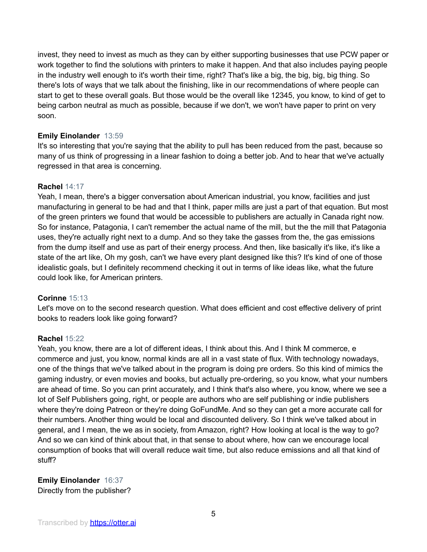invest, they need to invest as much as they can by either supporting businesses that use PCW paper or work together to find the solutions with printers to make it happen. And that also includes paying people in the industry well enough to it's worth their time, right? That's like a big, the big, big, big thing. So there's lots of ways that we talk about the finishing, like in our recommendations of where people can start to get to these overall goals. But those would be the overall like 12345, you know, to kind of get to being carbon neutral as much as possible, because if we don't, we won't have paper to print on very soon.

# **Emily Einolander** 13:59

It's so interesting that you're saying that the ability to pull has been reduced from the past, because so many of us think of progressing in a linear fashion to doing a better job. And to hear that we've actually regressed in that area is concerning.

# **Rachel** 14:17

Yeah, I mean, there's a bigger conversation about American industrial, you know, facilities and just manufacturing in general to be had and that I think, paper mills are just a part of that equation. But most of the green printers we found that would be accessible to publishers are actually in Canada right now. So for instance, Patagonia, I can't remember the actual name of the mill, but the the mill that Patagonia uses, they're actually right next to a dump. And so they take the gasses from the, the gas emissions from the dump itself and use as part of their energy process. And then, like basically it's like, it's like a state of the art like, Oh my gosh, can't we have every plant designed like this? It's kind of one of those idealistic goals, but I definitely recommend checking it out in terms of like ideas like, what the future could look like, for American printers.

# **Corinne** 15:13

Let's move on to the second research question. What does efficient and cost effective delivery of print books to readers look like going forward?

# **Rachel** 15:22

Yeah, you know, there are a lot of different ideas, I think about this. And I think M commerce, e commerce and just, you know, normal kinds are all in a vast state of flux. With technology nowadays, one of the things that we've talked about in the program is doing pre orders. So this kind of mimics the gaming industry, or even movies and books, but actually pre-ordering, so you know, what your numbers are ahead of time. So you can print accurately, and I think that's also where, you know, where we see a lot of Self Publishers going, right, or people are authors who are self publishing or indie publishers where they're doing Patreon or they're doing GoFundMe. And so they can get a more accurate call for their numbers. Another thing would be local and discounted delivery. So I think we've talked about in general, and I mean, the we as in society, from Amazon, right? How looking at local is the way to go? And so we can kind of think about that, in that sense to about where, how can we encourage local consumption of books that will overall reduce wait time, but also reduce emissions and all that kind of stuff?

**Emily Einolander** 16:37 Directly from the publisher?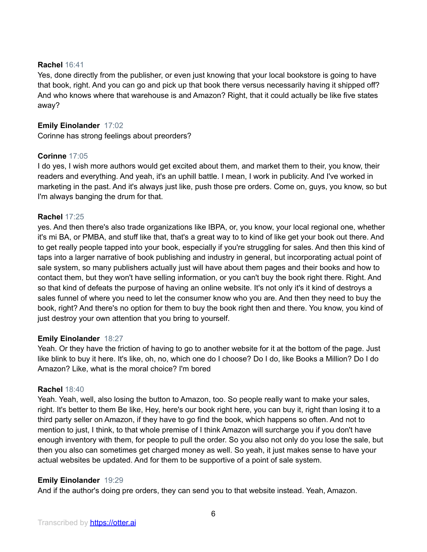### **Rachel** 16:41

Yes, done directly from the publisher, or even just knowing that your local bookstore is going to have that book, right. And you can go and pick up that book there versus necessarily having it shipped off? And who knows where that warehouse is and Amazon? Right, that it could actually be like five states away?

# **Emily Einolander** 17:02

Corinne has strong feelings about preorders?

# **Corinne** 17:05

I do yes, I wish more authors would get excited about them, and market them to their, you know, their readers and everything. And yeah, it's an uphill battle. I mean, I work in publicity. And I've worked in marketing in the past. And it's always just like, push those pre orders. Come on, guys, you know, so but I'm always banging the drum for that.

# **Rachel** 17:25

yes. And then there's also trade organizations like IBPA, or, you know, your local regional one, whether it's mi BA, or PMBA, and stuff like that, that's a great way to to kind of like get your book out there. And to get really people tapped into your book, especially if you're struggling for sales. And then this kind of taps into a larger narrative of book publishing and industry in general, but incorporating actual point of sale system, so many publishers actually just will have about them pages and their books and how to contact them, but they won't have selling information, or you can't buy the book right there. Right. And so that kind of defeats the purpose of having an online website. It's not only it's it kind of destroys a sales funnel of where you need to let the consumer know who you are. And then they need to buy the book, right? And there's no option for them to buy the book right then and there. You know, you kind of just destroy your own attention that you bring to yourself.

# **Emily Einolander** 18:27

Yeah. Or they have the friction of having to go to another website for it at the bottom of the page. Just like blink to buy it here. It's like, oh, no, which one do I choose? Do I do, like Books a Million? Do I do Amazon? Like, what is the moral choice? I'm bored

#### **Rachel** 18:40

Yeah. Yeah, well, also losing the button to Amazon, too. So people really want to make your sales, right. It's better to them Be like, Hey, here's our book right here, you can buy it, right than losing it to a third party seller on Amazon, if they have to go find the book, which happens so often. And not to mention to just, I think, to that whole premise of I think Amazon will surcharge you if you don't have enough inventory with them, for people to pull the order. So you also not only do you lose the sale, but then you also can sometimes get charged money as well. So yeah, it just makes sense to have your actual websites be updated. And for them to be supportive of a point of sale system.

# **Emily Einolander** 19:29

And if the author's doing pre orders, they can send you to that website instead. Yeah, Amazon.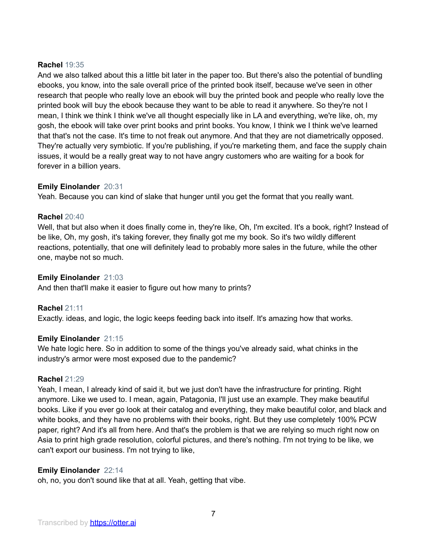# **Rachel** 19:35

And we also talked about this a little bit later in the paper too. But there's also the potential of bundling ebooks, you know, into the sale overall price of the printed book itself, because we've seen in other research that people who really love an ebook will buy the printed book and people who really love the printed book will buy the ebook because they want to be able to read it anywhere. So they're not I mean, I think we think I think we've all thought especially like in LA and everything, we're like, oh, my gosh, the ebook will take over print books and print books. You know, I think we I think we've learned that that's not the case. It's time to not freak out anymore. And that they are not diametrically opposed. They're actually very symbiotic. If you're publishing, if you're marketing them, and face the supply chain issues, it would be a really great way to not have angry customers who are waiting for a book for forever in a billion years.

#### **Emily Einolander** 20:31

Yeah. Because you can kind of slake that hunger until you get the format that you really want.

#### **Rachel** 20:40

Well, that but also when it does finally come in, they're like, Oh, I'm excited. It's a book, right? Instead of be like, Oh, my gosh, it's taking forever, they finally got me my book. So it's two wildly different reactions, potentially, that one will definitely lead to probably more sales in the future, while the other one, maybe not so much.

#### **Emily Einolander** 21:03

And then that'll make it easier to figure out how many to prints?

# **Rachel** 21:11

Exactly. ideas, and logic, the logic keeps feeding back into itself. It's amazing how that works.

#### **Emily Einolander** 21:15

We hate logic here. So in addition to some of the things you've already said, what chinks in the industry's armor were most exposed due to the pandemic?

#### **Rachel** 21:29

Yeah, I mean, I already kind of said it, but we just don't have the infrastructure for printing. Right anymore. Like we used to. I mean, again, Patagonia, I'll just use an example. They make beautiful books. Like if you ever go look at their catalog and everything, they make beautiful color, and black and white books, and they have no problems with their books, right. But they use completely 100% PCW paper, right? And it's all from here. And that's the problem is that we are relying so much right now on Asia to print high grade resolution, colorful pictures, and there's nothing. I'm not trying to be like, we can't export our business. I'm not trying to like,

# **Emily Einolander** 22:14

oh, no, you don't sound like that at all. Yeah, getting that vibe.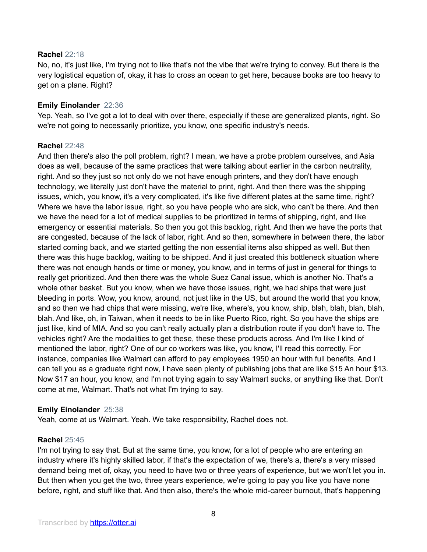#### **Rachel** 22:18

No, no, it's just like, I'm trying not to like that's not the vibe that we're trying to convey. But there is the very logistical equation of, okay, it has to cross an ocean to get here, because books are too heavy to get on a plane. Right?

# **Emily Einolander** 22:36

Yep. Yeah, so I've got a lot to deal with over there, especially if these are generalized plants, right. So we're not going to necessarily prioritize, you know, one specific industry's needs.

#### **Rachel** 22:48

And then there's also the poll problem, right? I mean, we have a probe problem ourselves, and Asia does as well, because of the same practices that were talking about earlier in the carbon neutrality, right. And so they just so not only do we not have enough printers, and they don't have enough technology, we literally just don't have the material to print, right. And then there was the shipping issues, which, you know, it's a very complicated, it's like five different plates at the same time, right? Where we have the labor issue, right, so you have people who are sick, who can't be there. And then we have the need for a lot of medical supplies to be prioritized in terms of shipping, right, and like emergency or essential materials. So then you got this backlog, right. And then we have the ports that are congested, because of the lack of labor, right. And so then, somewhere in between there, the labor started coming back, and we started getting the non essential items also shipped as well. But then there was this huge backlog, waiting to be shipped. And it just created this bottleneck situation where there was not enough hands or time or money, you know, and in terms of just in general for things to really get prioritized. And then there was the whole Suez Canal issue, which is another No. That's a whole other basket. But you know, when we have those issues, right, we had ships that were just bleeding in ports. Wow, you know, around, not just like in the US, but around the world that you know, and so then we had chips that were missing, we're like, where's, you know, ship, blah, blah, blah, blah, blah. And like, oh, in Taiwan, when it needs to be in like Puerto Rico, right. So you have the ships are just like, kind of MIA. And so you can't really actually plan a distribution route if you don't have to. The vehicles right? Are the modalities to get these, these these products across. And I'm like I kind of mentioned the labor, right? One of our co workers was like, you know, I'll read this correctly. For instance, companies like Walmart can afford to pay employees 1950 an hour with full benefits. And I can tell you as a graduate right now, I have seen plenty of publishing jobs that are like \$15 An hour \$13. Now \$17 an hour, you know, and I'm not trying again to say Walmart sucks, or anything like that. Don't come at me, Walmart. That's not what I'm trying to say.

# **Emily Einolander** 25:38

Yeah, come at us Walmart. Yeah. We take responsibility, Rachel does not.

# **Rachel** 25:45

I'm not trying to say that. But at the same time, you know, for a lot of people who are entering an industry where it's highly skilled labor, if that's the expectation of we, there's a, there's a very missed demand being met of, okay, you need to have two or three years of experience, but we won't let you in. But then when you get the two, three years experience, we're going to pay you like you have none before, right, and stuff like that. And then also, there's the whole mid-career burnout, that's happening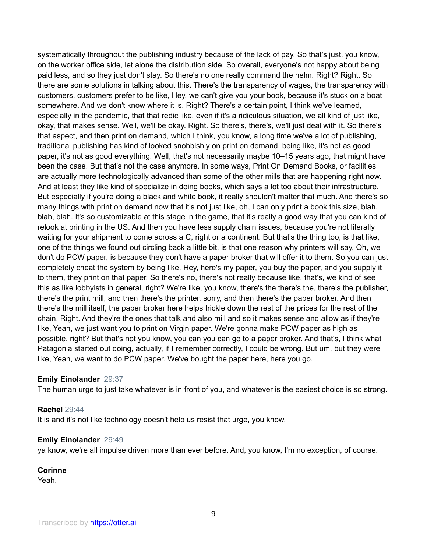systematically throughout the publishing industry because of the lack of pay. So that's just, you know, on the worker office side, let alone the distribution side. So overall, everyone's not happy about being paid less, and so they just don't stay. So there's no one really command the helm. Right? Right. So there are some solutions in talking about this. There's the transparency of wages, the transparency with customers, customers prefer to be like, Hey, we can't give you your book, because it's stuck on a boat somewhere. And we don't know where it is. Right? There's a certain point, I think we've learned, especially in the pandemic, that that redic like, even if it's a ridiculous situation, we all kind of just like, okay, that makes sense. Well, we'll be okay. Right. So there's, there's, we'll just deal with it. So there's that aspect, and then print on demand, which I think, you know, a long time we've a lot of publishing, traditional publishing has kind of looked snobbishly on print on demand, being like, it's not as good paper, it's not as good everything. Well, that's not necessarily maybe 10–15 years ago, that might have been the case. But that's not the case anymore. In some ways, Print On Demand Books, or facilities are actually more technologically advanced than some of the other mills that are happening right now. And at least they like kind of specialize in doing books, which says a lot too about their infrastructure. But especially if you're doing a black and white book, it really shouldn't matter that much. And there's so many things with print on demand now that it's not just like, oh, I can only print a book this size, blah, blah, blah. It's so customizable at this stage in the game, that it's really a good way that you can kind of relook at printing in the US. And then you have less supply chain issues, because you're not literally waiting for your shipment to come across a C, right or a continent. But that's the thing too, is that like, one of the things we found out circling back a little bit, is that one reason why printers will say, Oh, we don't do PCW paper, is because they don't have a paper broker that will offer it to them. So you can just completely cheat the system by being like, Hey, here's my paper, you buy the paper, and you supply it to them, they print on that paper. So there's no, there's not really because like, that's, we kind of see this as like lobbyists in general, right? We're like, you know, there's the there's the, there's the publisher, there's the print mill, and then there's the printer, sorry, and then there's the paper broker. And then there's the mill itself, the paper broker here helps trickle down the rest of the prices for the rest of the chain. Right. And they're the ones that talk and also mill and so it makes sense and allow as if they're like, Yeah, we just want you to print on Virgin paper. We're gonna make PCW paper as high as possible, right? But that's not you know, you can you can go to a paper broker. And that's, I think what Patagonia started out doing, actually, if I remember correctly, I could be wrong. But um, but they were like, Yeah, we want to do PCW paper. We've bought the paper here, here you go.

# **Emily Einolander** 29:37

The human urge to just take whatever is in front of you, and whatever is the easiest choice is so strong.

#### **Rachel** 29:44

It is and it's not like technology doesn't help us resist that urge, you know,

#### **Emily Einolander** 29:49

ya know, we're all impulse driven more than ever before. And, you know, I'm no exception, of course.

**Corinne**

Yeah.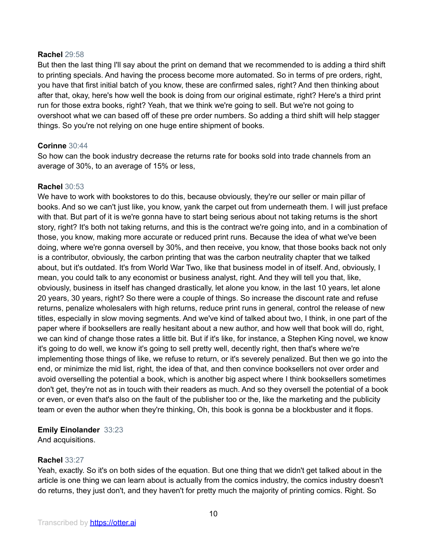#### **Rachel** 29:58

But then the last thing I'll say about the print on demand that we recommended to is adding a third shift to printing specials. And having the process become more automated. So in terms of pre orders, right, you have that first initial batch of you know, these are confirmed sales, right? And then thinking about after that, okay, here's how well the book is doing from our original estimate, right? Here's a third print run for those extra books, right? Yeah, that we think we're going to sell. But we're not going to overshoot what we can based off of these pre order numbers. So adding a third shift will help stagger things. So you're not relying on one huge entire shipment of books.

# **Corinne** 30:44

So how can the book industry decrease the returns rate for books sold into trade channels from an average of 30%, to an average of 15% or less,

# **Rachel** 30:53

We have to work with bookstores to do this, because obviously, they're our seller or main pillar of books. And so we can't just like, you know, yank the carpet out from underneath them. I will just preface with that. But part of it is we're gonna have to start being serious about not taking returns is the short story, right? It's both not taking returns, and this is the contract we're going into, and in a combination of those, you know, making more accurate or reduced print runs. Because the idea of what we've been doing, where we're gonna oversell by 30%, and then receive, you know, that those books back not only is a contributor, obviously, the carbon printing that was the carbon neutrality chapter that we talked about, but it's outdated. It's from World War Two, like that business model in of itself. And, obviously, I mean, you could talk to any economist or business analyst, right. And they will tell you that, like, obviously, business in itself has changed drastically, let alone you know, in the last 10 years, let alone 20 years, 30 years, right? So there were a couple of things. So increase the discount rate and refuse returns, penalize wholesalers with high returns, reduce print runs in general, control the release of new titles, especially in slow moving segments. And we've kind of talked about two, I think, in one part of the paper where if booksellers are really hesitant about a new author, and how well that book will do, right, we can kind of change those rates a little bit. But if it's like, for instance, a Stephen King novel, we know it's going to do well, we know it's going to sell pretty well, decently right, then that's where we're implementing those things of like, we refuse to return, or it's severely penalized. But then we go into the end, or minimize the mid list, right, the idea of that, and then convince booksellers not over order and avoid overselling the potential a book, which is another big aspect where I think booksellers sometimes don't get, they're not as in touch with their readers as much. And so they oversell the potential of a book or even, or even that's also on the fault of the publisher too or the, like the marketing and the publicity team or even the author when they're thinking, Oh, this book is gonna be a blockbuster and it flops.

# **Emily Einolander** 33:23

And acquisitions.

# **Rachel** 33:27

Yeah, exactly. So it's on both sides of the equation. But one thing that we didn't get talked about in the article is one thing we can learn about is actually from the comics industry, the comics industry doesn't do returns, they just don't, and they haven't for pretty much the majority of printing comics. Right. So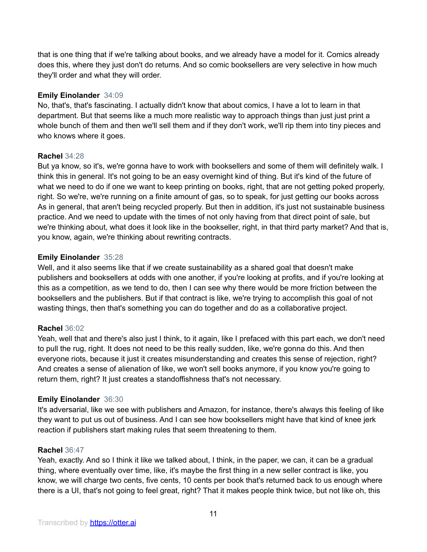that is one thing that if we're talking about books, and we already have a model for it. Comics already does this, where they just don't do returns. And so comic booksellers are very selective in how much they'll order and what they will order.

# **Emily Einolander** 34:09

No, that's, that's fascinating. I actually didn't know that about comics, I have a lot to learn in that department. But that seems like a much more realistic way to approach things than just just print a whole bunch of them and then we'll sell them and if they don't work, we'll rip them into tiny pieces and who knows where it goes.

# **Rachel** 34:28

But ya know, so it's, we're gonna have to work with booksellers and some of them will definitely walk. I think this in general. It's not going to be an easy overnight kind of thing. But it's kind of the future of what we need to do if one we want to keep printing on books, right, that are not getting poked properly, right. So we're, we're running on a finite amount of gas, so to speak, for just getting our books across As in general, that aren't being recycled properly. But then in addition, it's just not sustainable business practice. And we need to update with the times of not only having from that direct point of sale, but we're thinking about, what does it look like in the bookseller, right, in that third party market? And that is, you know, again, we're thinking about rewriting contracts.

# **Emily Einolander** 35:28

Well, and it also seems like that if we create sustainability as a shared goal that doesn't make publishers and booksellers at odds with one another, if you're looking at profits, and if you're looking at this as a competition, as we tend to do, then I can see why there would be more friction between the booksellers and the publishers. But if that contract is like, we're trying to accomplish this goal of not wasting things, then that's something you can do together and do as a collaborative project.

# **Rachel** 36:02

Yeah, well that and there's also just I think, to it again, like I prefaced with this part each, we don't need to pull the rug, right. It does not need to be this really sudden, like, we're gonna do this. And then everyone riots, because it just it creates misunderstanding and creates this sense of rejection, right? And creates a sense of alienation of like, we won't sell books anymore, if you know you're going to return them, right? It just creates a standoffishness that's not necessary.

# **Emily Einolander** 36:30

It's adversarial, like we see with publishers and Amazon, for instance, there's always this feeling of like they want to put us out of business. And I can see how booksellers might have that kind of knee jerk reaction if publishers start making rules that seem threatening to them.

# **Rachel** 36:47

Yeah, exactly. And so I think it like we talked about, I think, in the paper, we can, it can be a gradual thing, where eventually over time, like, it's maybe the first thing in a new seller contract is like, you know, we will charge two cents, five cents, 10 cents per book that's returned back to us enough where there is a UI, that's not going to feel great, right? That it makes people think twice, but not like oh, this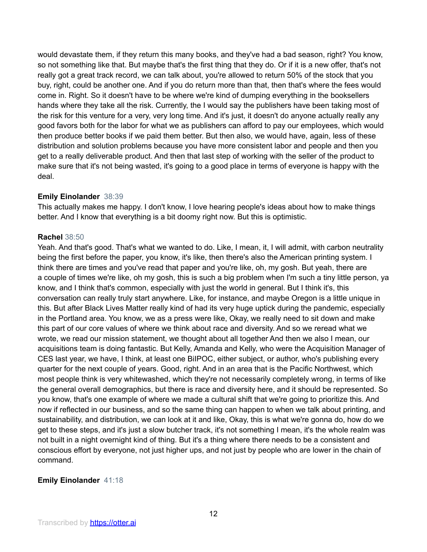would devastate them, if they return this many books, and they've had a bad season, right? You know, so not something like that. But maybe that's the first thing that they do. Or if it is a new offer, that's not really got a great track record, we can talk about, you're allowed to return 50% of the stock that you buy, right, could be another one. And if you do return more than that, then that's where the fees would come in. Right. So it doesn't have to be where we're kind of dumping everything in the booksellers hands where they take all the risk. Currently, the I would say the publishers have been taking most of the risk for this venture for a very, very long time. And it's just, it doesn't do anyone actually really any good favors both for the labor for what we as publishers can afford to pay our employees, which would then produce better books if we paid them better. But then also, we would have, again, less of these distribution and solution problems because you have more consistent labor and people and then you get to a really deliverable product. And then that last step of working with the seller of the product to make sure that it's not being wasted, it's going to a good place in terms of everyone is happy with the deal.

# **Emily Einolander** 38:39

This actually makes me happy. I don't know, I love hearing people's ideas about how to make things better. And I know that everything is a bit doomy right now. But this is optimistic.

# **Rachel** 38:50

Yeah. And that's good. That's what we wanted to do. Like, I mean, it, I will admit, with carbon neutrality being the first before the paper, you know, it's like, then there's also the American printing system. I think there are times and you've read that paper and you're like, oh, my gosh. But yeah, there are a couple of times we're like, oh my gosh, this is such a big problem when I'm such a tiny little person, ya know, and I think that's common, especially with just the world in general. But I think it's, this conversation can really truly start anywhere. Like, for instance, and maybe Oregon is a little unique in this. But after Black Lives Matter really kind of had its very huge uptick during the pandemic, especially in the Portland area. You know, we as a press were like, Okay, we really need to sit down and make this part of our core values of where we think about race and diversity. And so we reread what we wrote, we read our mission statement, we thought about all together And then we also I mean, our acquisitions team is doing fantastic. But Kelly, Amanda and Kelly, who were the Acquisition Manager of CES last year, we have, I think, at least one BiIPOC, either subject, or author, who's publishing every quarter for the next couple of years. Good, right. And in an area that is the Pacific Northwest, which most people think is very whitewashed, which they're not necessarily completely wrong, in terms of like the general overall demographics, but there is race and diversity here, and it should be represented. So you know, that's one example of where we made a cultural shift that we're going to prioritize this. And now if reflected in our business, and so the same thing can happen to when we talk about printing, and sustainability, and distribution, we can look at it and like, Okay, this is what we're gonna do, how do we get to these steps, and it's just a slow butcher track, it's not something I mean, it's the whole realm was not built in a night overnight kind of thing. But it's a thing where there needs to be a consistent and conscious effort by everyone, not just higher ups, and not just by people who are lower in the chain of command.

# **Emily Einolander** 41:18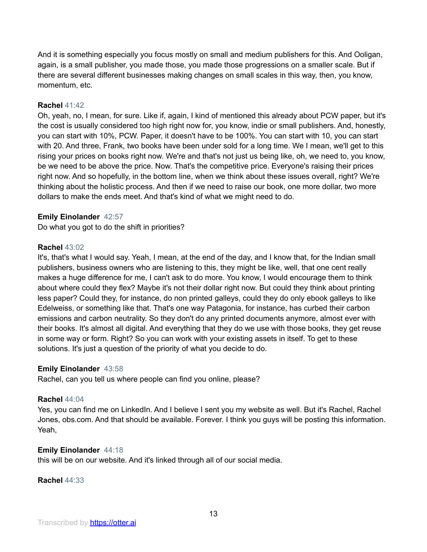And it is something especially you focus mostly on small and medium publishers for this. And Ooligan, again, is a small publisher, you made those, you made those progressions on a smaller scale. But if there are several different businesses making changes on small scales in this way, then, you know, momentum, etc.

# **Rachel** 41:42

Oh, yeah, no, I mean, for sure. Like if, again, I kind of mentioned this already about PCW paper, but it's the cost is usually considered too high right now for, you know, indie or small publishers. And, honestly, you can start with 10%, PCW. Paper, it doesn't have to be 100%. You can start with 10, you can start with 20. And three, Frank, two books have been under sold for a long time. We I mean, we'll get to this rising your prices on books right now. We're and that's not just us being like, oh, we need to, you know, be we need to be above the price. Now. That's the competitive price. Everyone's raising their prices right now. And so hopefully, in the bottom line, when we think about these issues overall, right? We're thinking about the holistic process. And then if we need to raise our book, one more dollar, two more dollars to make the ends meet. And that's kind of what we might need to do.

# **Emily Einolander** 42:57

Do what you got to do the shift in priorities?

# **Rachel** 43:02

It's, that's what I would say. Yeah, I mean, at the end of the day, and I know that, for the Indian small publishers, business owners who are listening to this, they might be like, well, that one cent really makes a huge difference for me, I can't ask to do more. You know, I would encourage them to think about where could they flex? Maybe it's not their dollar right now. But could they think about printing less paper? Could they, for instance, do non printed galleys, could they do only ebook galleys to like Edelweiss, or something like that. That's one way Patagonia, for instance, has curbed their carbon emissions and carbon neutrality. So they don't do any printed documents anymore, almost ever with their books. It's almost all digital. And everything that they do we use with those books, they get reuse in some way or form. Right? So you can work with your existing assets in itself. To get to these solutions. It's just a question of the priority of what you decide to do.

# **Emily Einolander** 43:58

Rachel, can you tell us where people can find you online, please?

# **Rachel** 44:04

Yes, you can find me on LinkedIn. And I believe I sent you my website as well. But it's Rachel, Rachel Jones, obs.com. And that should be available. Forever. I think you guys will be posting this information. Yeah,

# **Emily Einolander** 44:18

this will be on our website. And it's linked through all of our social media.

#### **Rachel** 44:33